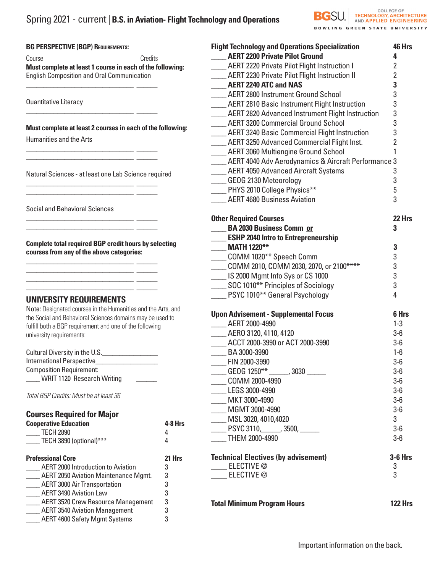#### **BG PERSPECTIVE (BGP) REQUIREMENTS:**

Course Credits **Must complete at least 1 course in each of the following:**  English Composition and Oral Communication

\_\_\_\_\_\_\_\_\_\_\_\_\_\_\_\_\_\_\_\_\_\_\_\_\_\_\_\_\_\_\_ \_\_\_\_\_\_

\_\_\_\_\_\_\_\_\_\_\_\_\_\_\_\_\_\_\_\_\_\_\_\_\_\_\_\_\_\_\_ \_\_\_\_\_\_

\_\_\_\_\_\_\_\_\_\_\_\_\_\_\_\_\_\_\_\_\_\_\_\_\_\_\_\_\_\_\_ \_\_\_\_\_\_ \_\_\_\_\_\_\_\_\_\_\_\_\_\_\_\_\_\_\_\_\_\_\_\_\_\_\_\_\_\_\_ \_\_\_\_\_\_

\_\_\_\_\_\_\_\_\_\_\_\_\_\_\_\_\_\_\_\_\_\_\_\_\_\_\_\_\_\_\_ \_\_\_\_\_\_  $\mathcal{L}=\mathcal{L}=\mathcal{L}=\mathcal{L}=\mathcal{L}=\mathcal{L}=\mathcal{L}=\mathcal{L}=\mathcal{L}=\mathcal{L}=\mathcal{L}=\mathcal{L}=\mathcal{L}=\mathcal{L}=\mathcal{L}=\mathcal{L}=\mathcal{L}=\mathcal{L}=\mathcal{L}=\mathcal{L}=\mathcal{L}=\mathcal{L}=\mathcal{L}=\mathcal{L}=\mathcal{L}=\mathcal{L}=\mathcal{L}=\mathcal{L}=\mathcal{L}=\mathcal{L}=\mathcal{L}=\mathcal{L}=\mathcal{L}=\mathcal{L}=\mathcal{L}=\mathcal{L}=\mathcal{$ 

\_\_\_\_\_\_\_\_\_\_\_\_\_\_\_\_\_\_\_\_\_\_\_\_\_\_\_\_\_\_\_ \_\_\_\_\_\_  $\overline{\phantom{a}}$  , and the set of the set of the set of the set of the set of the set of the set of the set of the set of the set of the set of the set of the set of the set of the set of the set of the set of the set of the s

\_\_\_\_\_\_\_\_\_\_\_\_\_\_\_\_\_\_\_\_\_\_\_\_\_\_\_\_\_\_\_ \_\_\_\_\_\_ \_\_\_\_\_\_\_\_\_\_\_\_\_\_\_\_\_\_\_\_\_\_\_\_\_\_\_\_\_\_\_ \_\_\_\_\_\_ \_\_\_\_\_\_\_\_\_\_\_\_\_\_\_\_\_\_\_\_\_\_\_\_\_\_\_\_\_\_\_ \_\_\_\_\_\_ \_\_\_\_\_\_\_\_\_\_\_\_\_\_\_\_\_\_\_\_\_\_\_\_\_\_\_\_\_\_\_ \_\_\_\_\_\_

Quantitative Literacy

**Must complete at least 2 courses in each of the following:**

Humanities and the Arts

Natural Sciences - at least one Lab Science required

Social and Behavioral Sciences

**Complete total required BGP credit hours by selecting courses from any of the above categories:**

# **UNIVERSITY REQUIREMENTS**

Note: Designated courses in the Humanities and the Arts, and the Social and Behavioral Sciences domains may be used to fulfill both a BGP requirement and one of the following university requirements:

| Cultural Diversity in the U.S.    |  |
|-----------------------------------|--|
| International Perspective         |  |
| <b>Composition Requirement:</b>   |  |
| <b>WRIT 1120 Research Writing</b> |  |

*Total BGP Credits: Must be at least 36*

| <b>Courses Required for Major</b> |           |
|-----------------------------------|-----------|
| <b>Cooperative Education</b>      | $4-8$ Hrs |
| <b>TECH 2890</b>                  |           |
|                                   |           |

| TECH 3890 (optional)*** |  |
|-------------------------|--|
|                         |  |

| <b>Professional Core</b>                    | 21 Hrs |
|---------------------------------------------|--------|
| <b>AERT 2000 Introduction to Aviation</b>   | 3      |
| <b>AERT 2050 Aviation Maintenance Mgmt.</b> | 3      |
| <b>AERT 3000 Air Transportation</b>         | 3      |
| <b>AERT 3490 Aviation Law</b>               | 3      |
| <b>AERT 3520 Crew Resource Management</b>   | 3      |
| <b>AERT 3540 Aviation Management</b>        | 3      |
| <b>AERT 4600 Safety Mgmt Systems</b>        | 3      |
|                                             |        |

| <b>Flight Technology and Operations Specialization</b>     | 46 Hrs         |
|------------------------------------------------------------|----------------|
| <b>AERT 2200 Private Pilot Ground</b>                      | 4              |
| ____ AERT 2220 Private Pilot Flight Instruction I          | $\overline{2}$ |
| ___ AERT 2230 Private Pilot Flight Instruction II          | $\overline{2}$ |
| AERT 2240 ATC and NAS                                      | 3              |
| ___ AERT 2800 Instrument Ground School                     | 3              |
| ____ AERT 2810 Basic Instrument Flight Instruction         | 3              |
| ___ AERT 2820 Advanced Instrument Flight Instruction       | 3              |
| <b>MERT 3200 Commercial Ground School</b>                  | 3              |
| <b>AERT 3240 Basic Commercial Flight Instruction</b>       | 3              |
| ____ AERT 3250 Advanced Commercial Flight Inst.            | $\overline{2}$ |
| ____ AERT 3060 Multiengine Ground School                   | 1              |
| ___ AERT 4040 Adv Aerodynamics & Aircraft Performance 3    |                |
| ____ AERT 4050 Advanced Aircraft Systems                   | 3              |
| GEOG 2130 Meteorology                                      | 3              |
| PHYS 2010 College Physics**                                | 5              |
| <b>AERT 4680 Business Aviation</b>                         | 3              |
|                                                            |                |
| <b>Other Required Courses</b>                              | 22 Hrs         |
| BA 2030 Business Comm or                                   | 3              |
| <b>ESHP 2040 Intro to Entrepreneurship</b>                 |                |
| <b>MATH 1220**</b>                                         | 3              |
| ____ COMM 1020** Speech Comm                               | 3              |
| COMM 2010, COMM 2030, 2070, or 2100****                    | 3              |
| IS 2000 Mgmt Info Sys or CS 1000                           | 3              |
| SOC 1010** Principles of Sociology                         | 3              |
| <b>EXECUTE:</b> PSYC 1010 <sup>**</sup> General Psychology | 4              |
| <b>Upon Advisement - Supplemental Focus</b>                | 6 Hrs          |
| ____ AERT 2000-4990                                        | $1 - 3$        |
| ____ AERO 3120, 4110, 4120                                 | $3-6$          |
| ____ ACCT 2000-3990 or ACT 2000-3990                       | $3-6$          |
| BA 3000-3990                                               | $1-6$          |
| EIN 2000-3990                                              | $3-6$          |
| ___ GEOG 1250** ______, 3030 ______                        | $3-6$          |
| COMM 2000-4990                                             | $3-6$          |
| LEGS 3000-4990                                             | $3-6$          |
|                                                            |                |
| MKT 3000-4990                                              | $3-6$          |
| MGMT 3000-4990                                             | $3-6$          |
| MSL 3020, 4010,4020                                        | 3              |
| _____ PSYC 3110,______, 3500, _____                        | $3-6$          |
| THEM 2000-4990                                             | $3-6$          |
| <b>Technical Electives (by advisement)</b>                 | $3-6$ Hrs      |
| ____ ELECTIVE @                                            | 3              |
| <b>ELECTIVE</b> @                                          | 3              |
|                                                            |                |
| <b>Total Minimum Program Hours</b>                         | <b>122 Hrs</b> |